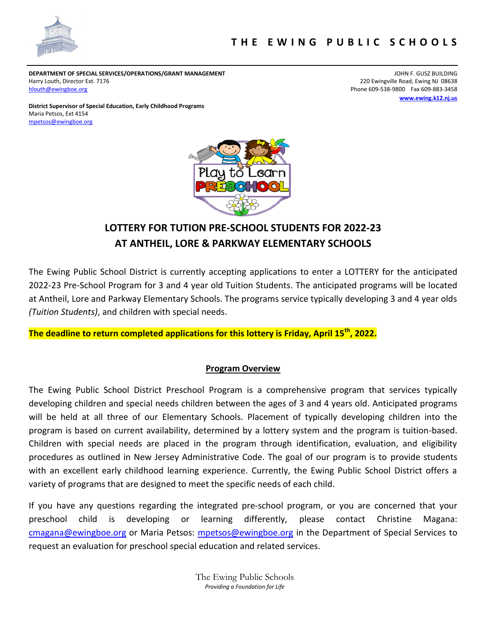

**DEPARTMENT OF SPECIAL SERVICES/OPERATIONS/GRANT MANAGEMENT** JOHN F. GUSZ BUILDING Harry Louth, Director Ext. 7176 220 Ewingville Road, Ewing NJ 08638 [hlouth@ewingboe.org](mailto:hlouth@ewingboe.org) example of the state of the state of the state of the state of the SO9-538-9800 Fax 609-883-3458

**[www.ewing.k12.nj.us](http://www.ewing.k12.nj.us/)**

**District Supervisor of Special Education, Early Childhood Programs** Maria Petsos, Ext 4154 [mpetsos@ewingboe.org](mailto:mpetsos@ewingboe.org)



# **LOTTERY FOR TUTION PRE-SCHOOL STUDENTS FOR 2022-23 AT ANTHEIL, LORE & PARKWAY ELEMENTARY SCHOOLS**

The Ewing Public School District is currently accepting applications to enter a LOTTERY for the anticipated 2022-23 Pre-School Program for 3 and 4 year old Tuition Students. The anticipated programs will be located at Antheil, Lore and Parkway Elementary Schools. The programs service typically developing 3 and 4 year olds *(Tuition Students)*, and children with special needs.

**The deadline to return completed applications for this lottery is Friday, April 15th, 2022.**

#### **Program Overview**

The Ewing Public School District Preschool Program is a comprehensive program that services typically developing children and special needs children between the ages of 3 and 4 years old. Anticipated programs will be held at all three of our Elementary Schools. Placement of typically developing children into the program is based on current availability, determined by a lottery system and the program is tuition-based. Children with special needs are placed in the program through identification, evaluation, and eligibility procedures as outlined in New Jersey Administrative Code. The goal of our program is to provide students with an excellent early childhood learning experience. Currently, the Ewing Public School District offers a variety of programs that are designed to meet the specific needs of each child.

If you have any questions regarding the integrated pre-school program, or you are concerned that your preschool child is developing or learning differently, please contact Christine Magana: [cmagana@ewingboe.org](mailto:cmagana@ewingboe.org) or Maria Petsos: [mpetsos@ewingboe.org](mailto:mpetsos@ewingboe.org) in the Department of Special Services to request an evaluation for preschool special education and related services.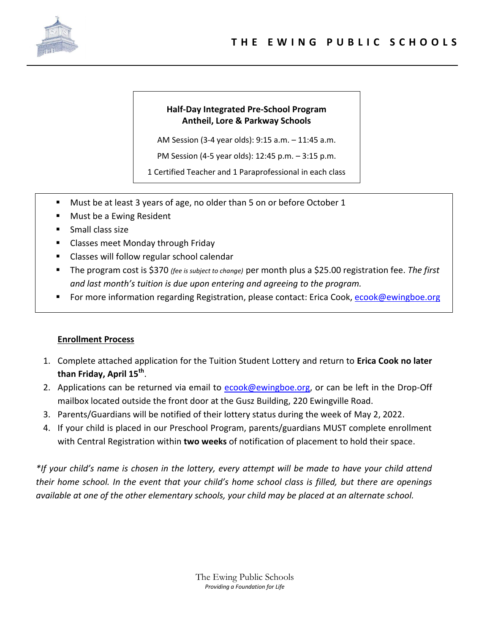

### **Half-Day Integrated Pre-School Program Antheil, Lore & Parkway Schools**

AM Session (3-4 year olds): 9:15 a.m. – 11:45 a.m.

PM Session (4-5 year olds): 12:45 p.m. – 3:15 p.m.

1 Certified Teacher and 1 Paraprofessional in each class

- Must be at least 3 years of age, no older than 5 on or before October 1
- Must be a Ewing Resident
- Small class size
- Classes meet Monday through Friday
- Classes will follow regular school calendar
- The program cost is \$370 *(fee is subject to change)* per month plus a \$25.00 registration fee. *The first and last month's tuition is due upon entering and agreeing to the program.*
- For more information regarding Registration, please contact: Erica Cook, [ecook@ewingboe.org](mailto:ecook@ewingboe.org)

#### **Enrollment Process**

- 1. Complete attached application for the Tuition Student Lottery and return to **Erica Cook no later than Friday, April 15th** .
- 2. Applications can be returned via email to [ecook@ewingboe.org,](mailto:ecook@ewingboe.org) or can be left in the Drop-Off mailbox located outside the front door at the Gusz Building, 220 Ewingville Road.
- 3. Parents/Guardians will be notified of their lottery status during the week of May 2, 2022.
- 4. If your child is placed in our Preschool Program, parents/guardians MUST complete enrollment with Central Registration within **two weeks** of notification of placement to hold their space.

*\*If your child's name is chosen in the lottery, every attempt will be made to have your child attend their home school. In the event that your child's home school class is filled, but there are openings available at one of the other elementary schools, your child may be placed at an alternate school.*